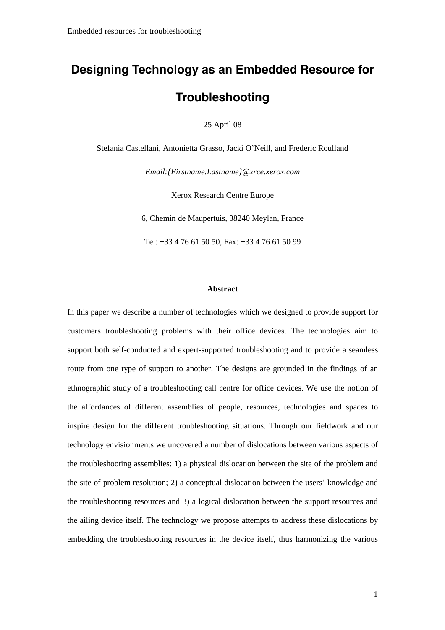# **Designing Technology as an Embedded Resource for Troubleshooting**

25 April 08

Stefania Castellani, Antonietta Grasso, Jacki O'Neill, and Frederic Roulland

*Email:{Firstname.Lastname}@xrce.xerox.com* 

Xerox Research Centre Europe

6, Chemin de Maupertuis, 38240 Meylan, France

Tel: +33 4 76 61 50 50, Fax: +33 4 76 61 50 99

#### **Abstract**

In this paper we describe a number of technologies which we designed to provide support for customers troubleshooting problems with their office devices. The technologies aim to support both self-conducted and expert-supported troubleshooting and to provide a seamless route from one type of support to another. The designs are grounded in the findings of an ethnographic study of a troubleshooting call centre for office devices. We use the notion of the affordances of different assemblies of people, resources, technologies and spaces to inspire design for the different troubleshooting situations. Through our fieldwork and our technology envisionments we uncovered a number of dislocations between various aspects of the troubleshooting assemblies: 1) a physical dislocation between the site of the problem and the site of problem resolution; 2) a conceptual dislocation between the users' knowledge and the troubleshooting resources and 3) a logical dislocation between the support resources and the ailing device itself. The technology we propose attempts to address these dislocations by embedding the troubleshooting resources in the device itself, thus harmonizing the various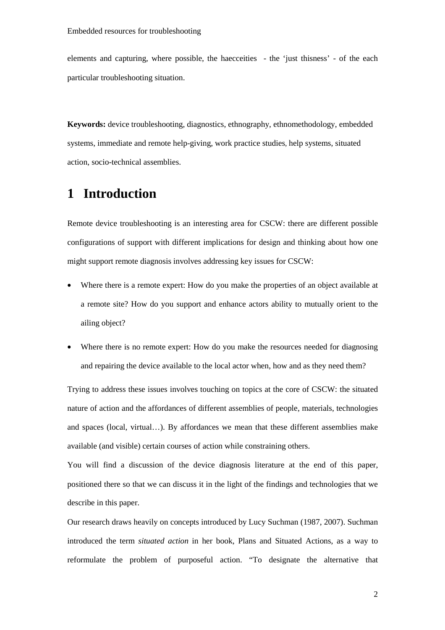elements and capturing, where possible, the haecceities - the 'just thisness' - of the each particular troubleshooting situation.

**Keywords:** device troubleshooting, diagnostics, ethnography, ethnomethodology, embedded systems, immediate and remote help-giving, work practice studies, help systems, situated action, socio-technical assemblies.

# **1 Introduction**

Remote device troubleshooting is an interesting area for CSCW: there are different possible configurations of support with different implications for design and thinking about how one might support remote diagnosis involves addressing key issues for CSCW:

- Where there is a remote expert: How do you make the properties of an object available at a remote site? How do you support and enhance actors ability to mutually orient to the ailing object?
- Where there is no remote expert: How do you make the resources needed for diagnosing and repairing the device available to the local actor when, how and as they need them?

Trying to address these issues involves touching on topics at the core of CSCW: the situated nature of action and the affordances of different assemblies of people, materials, technologies and spaces (local, virtual…). By affordances we mean that these different assemblies make available (and visible) certain courses of action while constraining others.

You will find a discussion of the device diagnosis literature at the end of this paper, positioned there so that we can discuss it in the light of the findings and technologies that we describe in this paper.

Our research draws heavily on concepts introduced by Lucy Suchman (1987, 2007). Suchman introduced the term *situated action* in her book, Plans and Situated Actions, as a way to reformulate the problem of purposeful action. "To designate the alternative that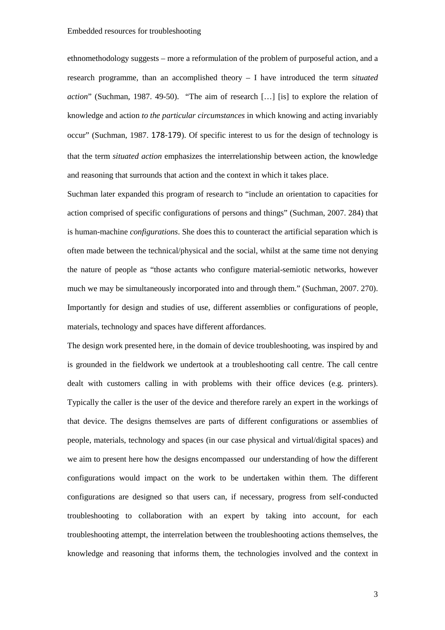ethnomethodology suggests – more a reformulation of the problem of purposeful action, and a research programme, than an accomplished theory – I have introduced the term *situated action*" (Suchman, 1987. 49-50). "The aim of research […] [is] to explore the relation of knowledge and action *to the particular circumstances* in which knowing and acting invariably occur" (Suchman, 1987. 178-179). Of specific interest to us for the design of technology is that the term *situated action* emphasizes the interrelationship between action, the knowledge and reasoning that surrounds that action and the context in which it takes place.

Suchman later expanded this program of research to "include an orientation to capacities for action comprised of specific configurations of persons and things" (Suchman, 2007. 284) that is human-machine *configurations*. She does this to counteract the artificial separation which is often made between the technical/physical and the social, whilst at the same time not denying the nature of people as "those actants who configure material-semiotic networks, however much we may be simultaneously incorporated into and through them." (Suchman, 2007. 270). Importantly for design and studies of use, different assemblies or configurations of people, materials, technology and spaces have different affordances.

The design work presented here, in the domain of device troubleshooting, was inspired by and is grounded in the fieldwork we undertook at a troubleshooting call centre. The call centre dealt with customers calling in with problems with their office devices (e.g. printers). Typically the caller is the user of the device and therefore rarely an expert in the workings of that device. The designs themselves are parts of different configurations or assemblies of people, materials, technology and spaces (in our case physical and virtual/digital spaces) and we aim to present here how the designs encompassed our understanding of how the different configurations would impact on the work to be undertaken within them. The different configurations are designed so that users can, if necessary, progress from self-conducted troubleshooting to collaboration with an expert by taking into account, for each troubleshooting attempt, the interrelation between the troubleshooting actions themselves, the knowledge and reasoning that informs them, the technologies involved and the context in

3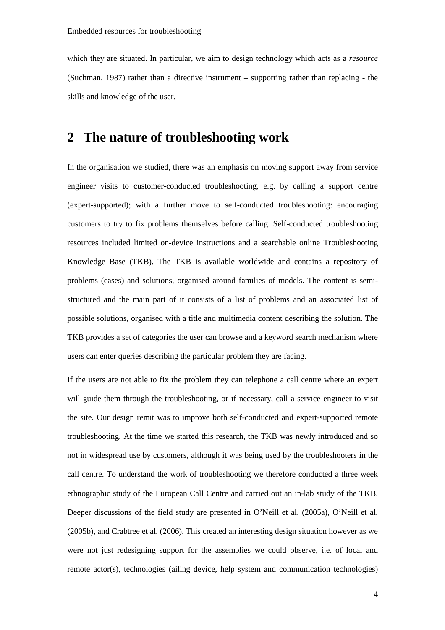which they are situated. In particular, we aim to design technology which acts as a *resource* (Suchman, 1987) rather than a directive instrument – supporting rather than replacing - the skills and knowledge of the user.

# **2 The nature of troubleshooting work**

In the organisation we studied, there was an emphasis on moving support away from service engineer visits to customer-conducted troubleshooting, e.g. by calling a support centre (expert-supported); with a further move to self-conducted troubleshooting: encouraging customers to try to fix problems themselves before calling. Self-conducted troubleshooting resources included limited on-device instructions and a searchable online Troubleshooting Knowledge Base (TKB). The TKB is available worldwide and contains a repository of problems (cases) and solutions, organised around families of models. The content is semistructured and the main part of it consists of a list of problems and an associated list of possible solutions, organised with a title and multimedia content describing the solution. The TKB provides a set of categories the user can browse and a keyword search mechanism where users can enter queries describing the particular problem they are facing.

If the users are not able to fix the problem they can telephone a call centre where an expert will guide them through the troubleshooting, or if necessary, call a service engineer to visit the site. Our design remit was to improve both self-conducted and expert-supported remote troubleshooting. At the time we started this research, the TKB was newly introduced and so not in widespread use by customers, although it was being used by the troubleshooters in the call centre. To understand the work of troubleshooting we therefore conducted a three week ethnographic study of the European Call Centre and carried out an in-lab study of the TKB. Deeper discussions of the field study are presented in O'Neill et al. (2005a), O'Neill et al. (2005b), and Crabtree et al. (2006). This created an interesting design situation however as we were not just redesigning support for the assemblies we could observe, i.e. of local and remote actor(s), technologies (ailing device, help system and communication technologies)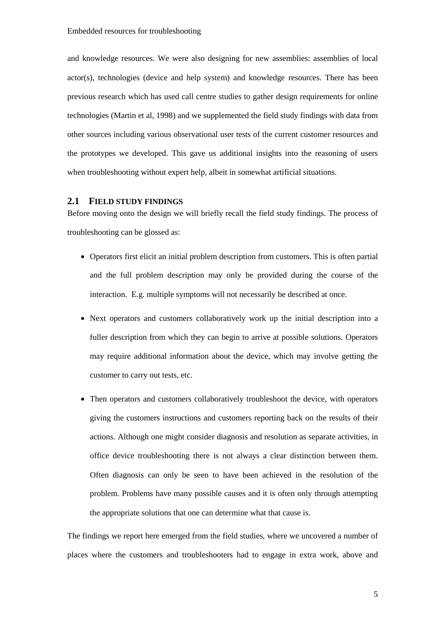and knowledge resources. We were also designing for new assemblies: assemblies of local actor(s), technologies (device and help system) and knowledge resources. There has been previous research which has used call centre studies to gather design requirements for online technologies (Martin et al, 1998) and we supplemented the field study findings with data from other sources including various observational user tests of the current customer resources and the prototypes we developed. This gave us additional insights into the reasoning of users when troubleshooting without expert help, albeit in somewhat artificial situations.

### **2.1 FIELD STUDY FINDINGS**

Before moving onto the design we will briefly recall the field study findings. The process of troubleshooting can be glossed as:

- Operators first elicit an initial problem description from customers. This is often partial and the full problem description may only be provided during the course of the interaction. E.g. multiple symptoms will not necessarily be described at once.
- Next operators and customers collaboratively work up the initial description into a fuller description from which they can begin to arrive at possible solutions. Operators may require additional information about the device, which may involve getting the customer to carry out tests, etc.
- Then operators and customers collaboratively troubleshoot the device, with operators giving the customers instructions and customers reporting back on the results of their actions. Although one might consider diagnosis and resolution as separate activities, in office device troubleshooting there is not always a clear distinction between them. Often diagnosis can only be seen to have been achieved in the resolution of the problem. Problems have many possible causes and it is often only through attempting the appropriate solutions that one can determine what that cause is.

The findings we report here emerged from the field studies, where we uncovered a number of places where the customers and troubleshooters had to engage in extra work, above and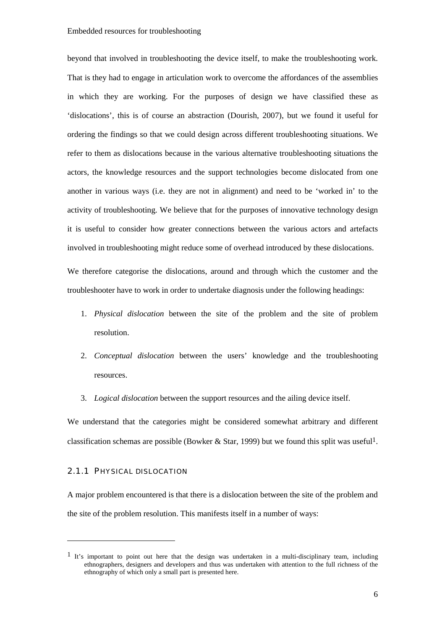beyond that involved in troubleshooting the device itself, to make the troubleshooting work. That is they had to engage in articulation work to overcome the affordances of the assemblies in which they are working. For the purposes of design we have classified these as 'dislocations', this is of course an abstraction (Dourish, 2007), but we found it useful for ordering the findings so that we could design across different troubleshooting situations. We refer to them as dislocations because in the various alternative troubleshooting situations the actors, the knowledge resources and the support technologies become dislocated from one another in various ways (i.e. they are not in alignment) and need to be 'worked in' to the activity of troubleshooting. We believe that for the purposes of innovative technology design it is useful to consider how greater connections between the various actors and artefacts involved in troubleshooting might reduce some of overhead introduced by these dislocations.

We therefore categorise the dislocations, around and through which the customer and the troubleshooter have to work in order to undertake diagnosis under the following headings:

- 1. *Physical dislocation* between the site of the problem and the site of problem resolution.
- 2. *Conceptual dislocation* between the users' knowledge and the troubleshooting resources.
- 3. *Logical dislocation* between the support resources and the ailing device itself.

We understand that the categories might be considered somewhat arbitrary and different classification schemas are possible (Bowker & Star, 1999) but we found this split was useful<sup>1</sup>.

### 2.1.1 PHYSICAL DISLOCATION

 $\ddot{\phantom{a}}$ 

A major problem encountered is that there is a dislocation between the site of the problem and the site of the problem resolution. This manifests itself in a number of ways:

 $1$  It's important to point out here that the design was undertaken in a multi-disciplinary team, including ethnographers, designers and developers and thus was undertaken with attention to the full richness of the ethnography of which only a small part is presented here.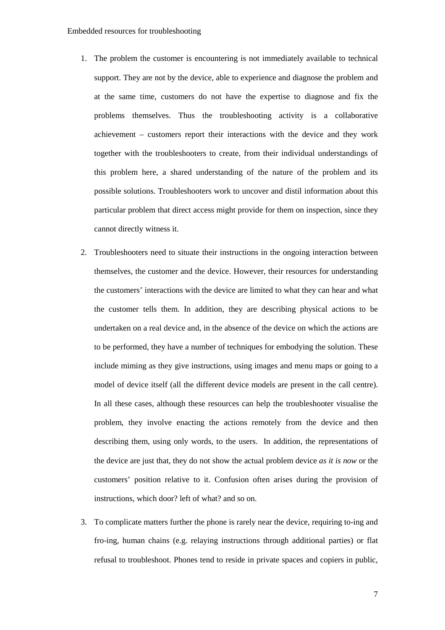- 1. The problem the customer is encountering is not immediately available to technical support. They are not by the device, able to experience and diagnose the problem and at the same time, customers do not have the expertise to diagnose and fix the problems themselves. Thus the troubleshooting activity is a collaborative achievement – customers report their interactions with the device and they work together with the troubleshooters to create, from their individual understandings of this problem here, a shared understanding of the nature of the problem and its possible solutions. Troubleshooters work to uncover and distil information about this particular problem that direct access might provide for them on inspection, since they cannot directly witness it.
- 2. Troubleshooters need to situate their instructions in the ongoing interaction between themselves, the customer and the device. However, their resources for understanding the customers' interactions with the device are limited to what they can hear and what the customer tells them. In addition, they are describing physical actions to be undertaken on a real device and, in the absence of the device on which the actions are to be performed, they have a number of techniques for embodying the solution. These include miming as they give instructions, using images and menu maps or going to a model of device itself (all the different device models are present in the call centre). In all these cases, although these resources can help the troubleshooter visualise the problem, they involve enacting the actions remotely from the device and then describing them, using only words, to the users. In addition, the representations of the device are just that, they do not show the actual problem device *as it is now* or the customers' position relative to it. Confusion often arises during the provision of instructions, which door? left of what? and so on.
- 3. To complicate matters further the phone is rarely near the device, requiring to-ing and fro-ing, human chains (e.g. relaying instructions through additional parties) or flat refusal to troubleshoot. Phones tend to reside in private spaces and copiers in public,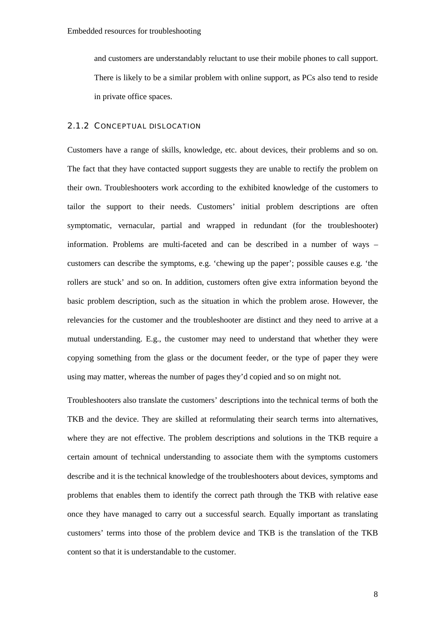and customers are understandably reluctant to use their mobile phones to call support. There is likely to be a similar problem with online support, as PCs also tend to reside in private office spaces.

### 2.1.2 CONCEPTUAL DISLOCATION

Customers have a range of skills, knowledge, etc. about devices, their problems and so on. The fact that they have contacted support suggests they are unable to rectify the problem on their own. Troubleshooters work according to the exhibited knowledge of the customers to tailor the support to their needs. Customers' initial problem descriptions are often symptomatic, vernacular, partial and wrapped in redundant (for the troubleshooter) information. Problems are multi-faceted and can be described in a number of ways – customers can describe the symptoms, e.g. 'chewing up the paper'; possible causes e.g. 'the rollers are stuck' and so on. In addition, customers often give extra information beyond the basic problem description, such as the situation in which the problem arose. However, the relevancies for the customer and the troubleshooter are distinct and they need to arrive at a mutual understanding. E.g., the customer may need to understand that whether they were copying something from the glass or the document feeder, or the type of paper they were using may matter, whereas the number of pages they'd copied and so on might not.

Troubleshooters also translate the customers' descriptions into the technical terms of both the TKB and the device. They are skilled at reformulating their search terms into alternatives, where they are not effective. The problem descriptions and solutions in the TKB require a certain amount of technical understanding to associate them with the symptoms customers describe and it is the technical knowledge of the troubleshooters about devices, symptoms and problems that enables them to identify the correct path through the TKB with relative ease once they have managed to carry out a successful search. Equally important as translating customers' terms into those of the problem device and TKB is the translation of the TKB content so that it is understandable to the customer.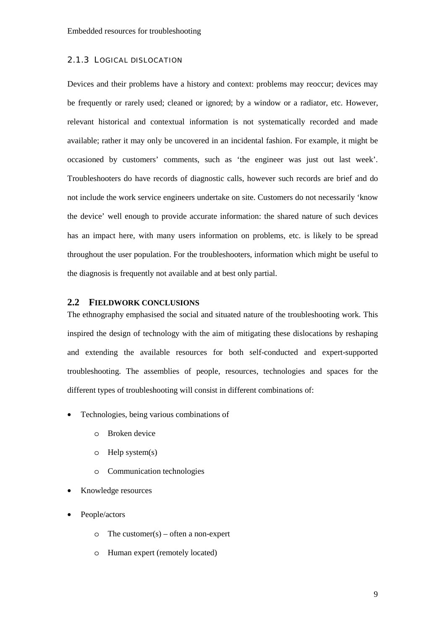### 2.1.3 LOGICAL DISLOCATION

Devices and their problems have a history and context: problems may reoccur; devices may be frequently or rarely used; cleaned or ignored; by a window or a radiator, etc. However, relevant historical and contextual information is not systematically recorded and made available; rather it may only be uncovered in an incidental fashion. For example, it might be occasioned by customers' comments, such as 'the engineer was just out last week'. Troubleshooters do have records of diagnostic calls, however such records are brief and do not include the work service engineers undertake on site. Customers do not necessarily 'know the device' well enough to provide accurate information: the shared nature of such devices has an impact here, with many users information on problems, etc. is likely to be spread throughout the user population. For the troubleshooters, information which might be useful to the diagnosis is frequently not available and at best only partial.

### **2.2 FIELDWORK CONCLUSIONS**

The ethnography emphasised the social and situated nature of the troubleshooting work. This inspired the design of technology with the aim of mitigating these dislocations by reshaping and extending the available resources for both self-conducted and expert-supported troubleshooting. The assemblies of people, resources, technologies and spaces for the different types of troubleshooting will consist in different combinations of:

- Technologies, being various combinations of
	- o Broken device
	- o Help system(s)
	- o Communication technologies
- Knowledge resources
- People/actors
	- $\circ$  The customer(s) often a non-expert
	- o Human expert (remotely located)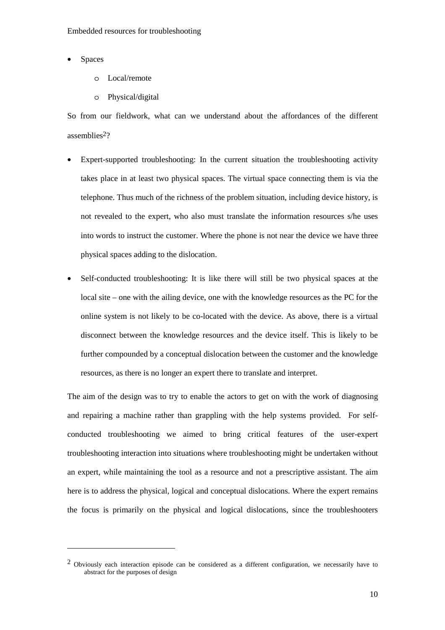• Spaces

 $\overline{a}$ 

- o Local/remote
- o Physical/digital

So from our fieldwork, what can we understand about the affordances of the different assemblies2?

- Expert-supported troubleshooting: In the current situation the troubleshooting activity takes place in at least two physical spaces. The virtual space connecting them is via the telephone. Thus much of the richness of the problem situation, including device history, is not revealed to the expert, who also must translate the information resources s/he uses into words to instruct the customer. Where the phone is not near the device we have three physical spaces adding to the dislocation.
- Self-conducted troubleshooting: It is like there will still be two physical spaces at the local site – one with the ailing device, one with the knowledge resources as the PC for the online system is not likely to be co-located with the device. As above, there is a virtual disconnect between the knowledge resources and the device itself. This is likely to be further compounded by a conceptual dislocation between the customer and the knowledge resources, as there is no longer an expert there to translate and interpret.

The aim of the design was to try to enable the actors to get on with the work of diagnosing and repairing a machine rather than grappling with the help systems provided. For selfconducted troubleshooting we aimed to bring critical features of the user-expert troubleshooting interaction into situations where troubleshooting might be undertaken without an expert, while maintaining the tool as a resource and not a prescriptive assistant. The aim here is to address the physical, logical and conceptual dislocations. Where the expert remains the focus is primarily on the physical and logical dislocations, since the troubleshooters

<sup>&</sup>lt;sup>2</sup> Obviously each interaction episode can be considered as a different configuration, we necessarily have to abstract for the purposes of design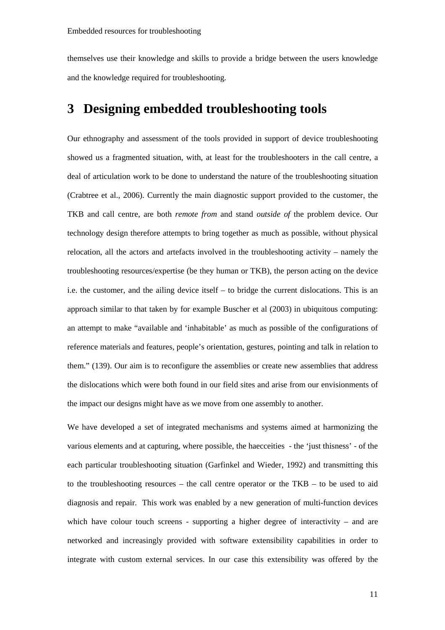themselves use their knowledge and skills to provide a bridge between the users knowledge and the knowledge required for troubleshooting.

# **3 Designing embedded troubleshooting tools**

Our ethnography and assessment of the tools provided in support of device troubleshooting showed us a fragmented situation, with, at least for the troubleshooters in the call centre, a deal of articulation work to be done to understand the nature of the troubleshooting situation (Crabtree et al., 2006). Currently the main diagnostic support provided to the customer, the TKB and call centre, are both *remote from* and stand *outside of* the problem device. Our technology design therefore attempts to bring together as much as possible, without physical relocation, all the actors and artefacts involved in the troubleshooting activity – namely the troubleshooting resources/expertise (be they human or TKB), the person acting on the device i.e. the customer, and the ailing device itself – to bridge the current dislocations. This is an approach similar to that taken by for example Buscher et al (2003) in ubiquitous computing: an attempt to make "available and 'inhabitable' as much as possible of the configurations of reference materials and features, people's orientation, gestures, pointing and talk in relation to them." (139). Our aim is to reconfigure the assemblies or create new assemblies that address the dislocations which were both found in our field sites and arise from our envisionments of the impact our designs might have as we move from one assembly to another.

We have developed a set of integrated mechanisms and systems aimed at harmonizing the various elements and at capturing, where possible, the haecceities - the 'just thisness' - of the each particular troubleshooting situation (Garfinkel and Wieder, 1992) and transmitting this to the troubleshooting resources – the call centre operator or the TKB – to be used to aid diagnosis and repair. This work was enabled by a new generation of multi-function devices which have colour touch screens - supporting a higher degree of interactivity – and are networked and increasingly provided with software extensibility capabilities in order to integrate with custom external services. In our case this extensibility was offered by the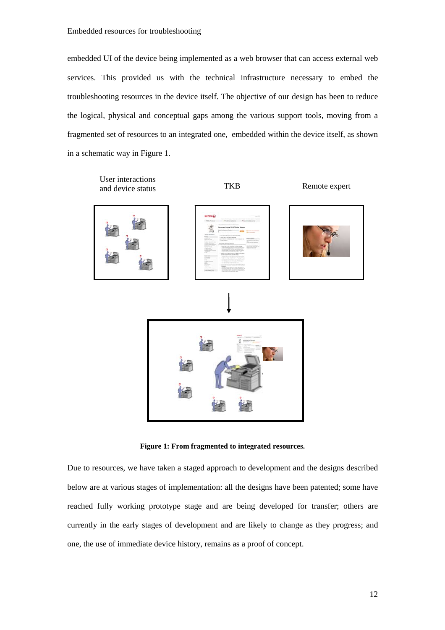embedded UI of the device being implemented as a web browser that can access external web services. This provided us with the technical infrastructure necessary to embed the troubleshooting resources in the device itself. The objective of our design has been to reduce the logical, physical and conceptual gaps among the various support tools, moving from a fragmented set of resources to an integrated one, embedded within the device itself, as shown in a schematic way in Figure 1.



**Figure 1: From fragmented to integrated resources.** 

Due to resources, we have taken a staged approach to development and the designs described below are at various stages of implementation: all the designs have been patented; some have reached fully working prototype stage and are being developed for transfer; others are currently in the early stages of development and are likely to change as they progress; and one, the use of immediate device history, remains as a proof of concept.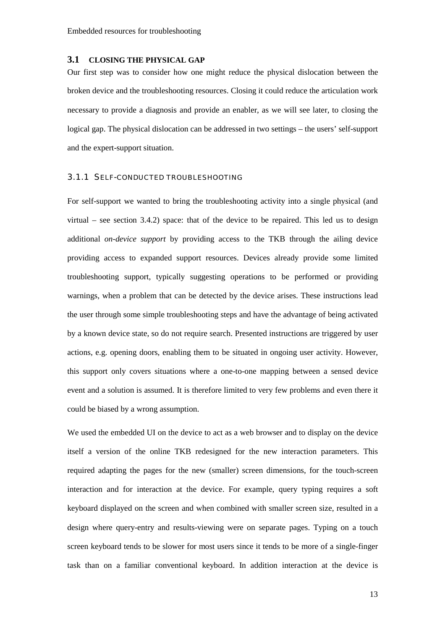#### **3.1 CLOSING THE PHYSICAL GAP**

Our first step was to consider how one might reduce the physical dislocation between the broken device and the troubleshooting resources. Closing it could reduce the articulation work necessary to provide a diagnosis and provide an enabler, as we will see later, to closing the logical gap. The physical dislocation can be addressed in two settings – the users' self-support and the expert-support situation.

## 3.1.1 SELF-CONDUCTED TROUBLESHOOTING

For self-support we wanted to bring the troubleshooting activity into a single physical (and virtual – see section  $3.4.2$ ) space: that of the device to be repaired. This led us to design additional *on-device support* by providing access to the TKB through the ailing device providing access to expanded support resources. Devices already provide some limited troubleshooting support, typically suggesting operations to be performed or providing warnings, when a problem that can be detected by the device arises. These instructions lead the user through some simple troubleshooting steps and have the advantage of being activated by a known device state, so do not require search. Presented instructions are triggered by user actions, e.g. opening doors, enabling them to be situated in ongoing user activity. However, this support only covers situations where a one-to-one mapping between a sensed device event and a solution is assumed. It is therefore limited to very few problems and even there it could be biased by a wrong assumption.

We used the embedded UI on the device to act as a web browser and to display on the device itself a version of the online TKB redesigned for the new interaction parameters. This required adapting the pages for the new (smaller) screen dimensions, for the touch-screen interaction and for interaction at the device. For example, query typing requires a soft keyboard displayed on the screen and when combined with smaller screen size, resulted in a design where query-entry and results-viewing were on separate pages. Typing on a touch screen keyboard tends to be slower for most users since it tends to be more of a single-finger task than on a familiar conventional keyboard. In addition interaction at the device is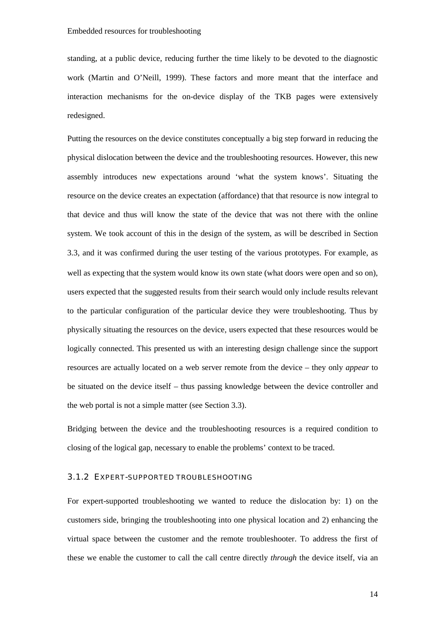standing, at a public device, reducing further the time likely to be devoted to the diagnostic work (Martin and O'Neill, 1999). These factors and more meant that the interface and interaction mechanisms for the on-device display of the TKB pages were extensively redesigned.

Putting the resources on the device constitutes conceptually a big step forward in reducing the physical dislocation between the device and the troubleshooting resources. However, this new assembly introduces new expectations around 'what the system knows'. Situating the resource on the device creates an expectation (affordance) that that resource is now integral to that device and thus will know the state of the device that was not there with the online system. We took account of this in the design of the system, as will be described in Section 3.3, and it was confirmed during the user testing of the various prototypes. For example, as well as expecting that the system would know its own state (what doors were open and so on), users expected that the suggested results from their search would only include results relevant to the particular configuration of the particular device they were troubleshooting. Thus by physically situating the resources on the device, users expected that these resources would be logically connected. This presented us with an interesting design challenge since the support resources are actually located on a web server remote from the device – they only *appear* to be situated on the device itself – thus passing knowledge between the device controller and the web portal is not a simple matter (see Section 3.3).

Bridging between the device and the troubleshooting resources is a required condition to closing of the logical gap, necessary to enable the problems' context to be traced.

#### 3.1.2 EXPERT-SUPPORTED TROUBLESHOOTING

For expert-supported troubleshooting we wanted to reduce the dislocation by: 1) on the customers side, bringing the troubleshooting into one physical location and 2) enhancing the virtual space between the customer and the remote troubleshooter. To address the first of these we enable the customer to call the call centre directly *through* the device itself, via an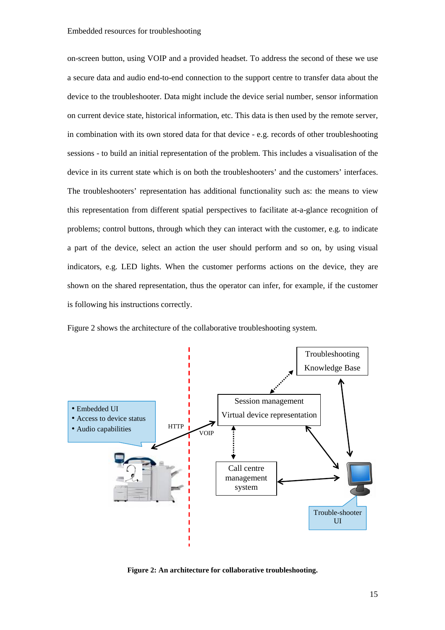on-screen button, using VOIP and a provided headset. To address the second of these we use a secure data and audio end-to-end connection to the support centre to transfer data about the device to the troubleshooter. Data might include the device serial number, sensor information on current device state, historical information, etc. This data is then used by the remote server, in combination with its own stored data for that device - e.g. records of other troubleshooting sessions - to build an initial representation of the problem. This includes a visualisation of the device in its current state which is on both the troubleshooters' and the customers' interfaces. The troubleshooters' representation has additional functionality such as: the means to view this representation from different spatial perspectives to facilitate at-a-glance recognition of problems; control buttons, through which they can interact with the customer, e.g. to indicate a part of the device, select an action the user should perform and so on, by using visual indicators, e.g. LED lights. When the customer performs actions on the device, they are shown on the shared representation, thus the operator can infer, for example, if the customer is following his instructions correctly.

Figure 2 shows the architecture of the collaborative troubleshooting system.



**Figure 2: An architecture for collaborative troubleshooting.**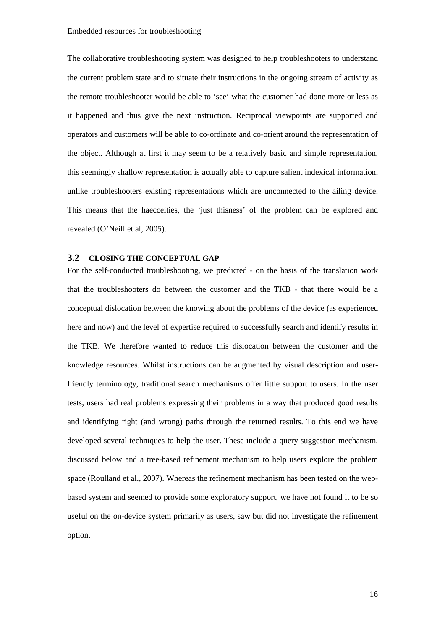The collaborative troubleshooting system was designed to help troubleshooters to understand the current problem state and to situate their instructions in the ongoing stream of activity as the remote troubleshooter would be able to 'see' what the customer had done more or less as it happened and thus give the next instruction. Reciprocal viewpoints are supported and operators and customers will be able to co-ordinate and co-orient around the representation of the object. Although at first it may seem to be a relatively basic and simple representation, this seemingly shallow representation is actually able to capture salient indexical information, unlike troubleshooters existing representations which are unconnected to the ailing device. This means that the haecceities, the 'just thisness' of the problem can be explored and revealed (O'Neill et al, 2005).

### **3.2 CLOSING THE CONCEPTUAL GAP**

For the self-conducted troubleshooting, we predicted - on the basis of the translation work that the troubleshooters do between the customer and the TKB - that there would be a conceptual dislocation between the knowing about the problems of the device (as experienced here and now) and the level of expertise required to successfully search and identify results in the TKB. We therefore wanted to reduce this dislocation between the customer and the knowledge resources. Whilst instructions can be augmented by visual description and userfriendly terminology, traditional search mechanisms offer little support to users. In the user tests, users had real problems expressing their problems in a way that produced good results and identifying right (and wrong) paths through the returned results. To this end we have developed several techniques to help the user. These include a query suggestion mechanism, discussed below and a tree-based refinement mechanism to help users explore the problem space (Roulland et al., 2007). Whereas the refinement mechanism has been tested on the webbased system and seemed to provide some exploratory support, we have not found it to be so useful on the on-device system primarily as users, saw but did not investigate the refinement option.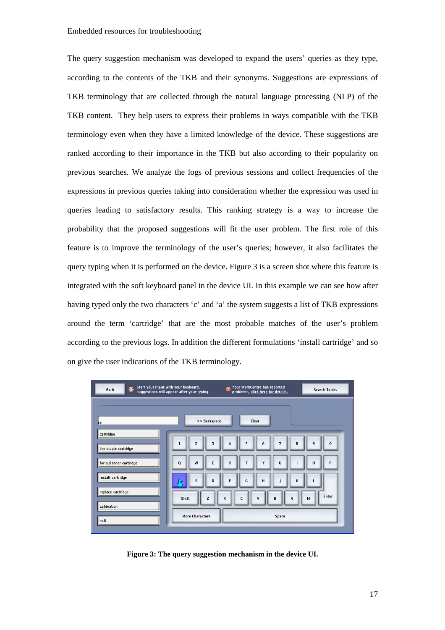The query suggestion mechanism was developed to expand the users' queries as they type, according to the contents of the TKB and their synonyms. Suggestions are expressions of TKB terminology that are collected through the natural language processing (NLP) of the TKB content. They help users to express their problems in ways compatible with the TKB terminology even when they have a limited knowledge of the device. These suggestions are ranked according to their importance in the TKB but also according to their popularity on previous searches. We analyze the logs of previous sessions and collect frequencies of the expressions in previous queries taking into consideration whether the expression was used in queries leading to satisfactory results. This ranking strategy is a way to increase the probability that the proposed suggestions will fit the user problem. The first role of this feature is to improve the terminology of the user's queries; however, it also facilitates the query typing when it is performed on the device. Figure  $\overline{3}$  is a screen shot where this feature is integrated with the soft keyboard panel in the device UI. In this example we can see how after having typed only the two characters 'c' and 'a' the system suggests a list of TKB expressions around the term 'cartridge' that are the most probable matches of the user's problem according to the previous logs. In addition the different formulations 'install cartridge' and so on give the user indications of the TKB terminology.

| ₩<br>Back                                                    | Start your input with your keyboard,<br>suggestions will appear after your typing.<br>Your WorkCentre has reported<br>problems, click here for details.<br>$\bullet$<br><b>Search Topics</b> |
|--------------------------------------------------------------|----------------------------------------------------------------------------------------------------------------------------------------------------------------------------------------------|
| ka                                                           | << Backspace<br>Clear                                                                                                                                                                        |
| cartridge<br>the staple cartridge<br>for old toner cartridge | 5<br>6<br>$\mathbf{1}$<br>$\overline{2}$<br>3<br>8<br>9<br>$\overline{7}$<br>$\Omega$<br>4<br>$\mathsf R$<br>Y<br>W<br>Q<br>E<br>U<br>$\circ$<br>P<br>т                                      |
| install cartridge                                            | s<br>F<br>G<br>H<br>K<br>ժա<br>D                                                                                                                                                             |
| replace cartridge<br>calibration                             | <b>Enter</b><br>Shift<br>Z<br>B<br>$\mathsf{x}$<br>N<br>M<br>v<br>C                                                                                                                          |
| call                                                         | <b>More Characters</b><br>Space                                                                                                                                                              |

**Figure 3: The query suggestion mechanism in the device UI.**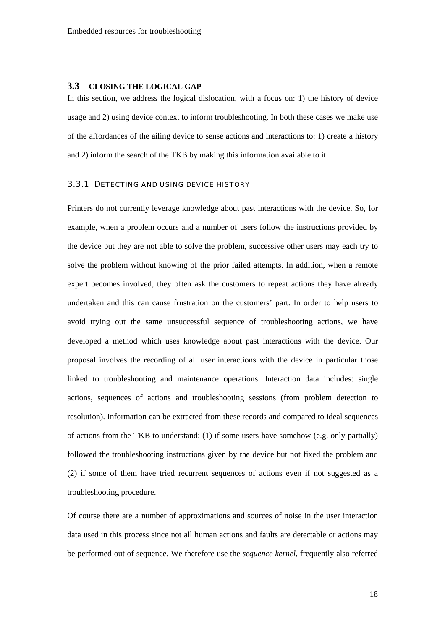### **3.3 CLOSING THE LOGICAL GAP**

In this section, we address the logical dislocation, with a focus on: 1) the history of device usage and 2) using device context to inform troubleshooting. In both these cases we make use of the affordances of the ailing device to sense actions and interactions to: 1) create a history and 2) inform the search of the TKB by making this information available to it.

#### 3.3.1 DETECTING AND USING DEVICE HISTORY

Printers do not currently leverage knowledge about past interactions with the device. So, for example, when a problem occurs and a number of users follow the instructions provided by the device but they are not able to solve the problem, successive other users may each try to solve the problem without knowing of the prior failed attempts. In addition, when a remote expert becomes involved, they often ask the customers to repeat actions they have already undertaken and this can cause frustration on the customers' part. In order to help users to avoid trying out the same unsuccessful sequence of troubleshooting actions, we have developed a method which uses knowledge about past interactions with the device. Our proposal involves the recording of all user interactions with the device in particular those linked to troubleshooting and maintenance operations. Interaction data includes: single actions, sequences of actions and troubleshooting sessions (from problem detection to resolution). Information can be extracted from these records and compared to ideal sequences of actions from the TKB to understand: (1) if some users have somehow (e.g. only partially) followed the troubleshooting instructions given by the device but not fixed the problem and (2) if some of them have tried recurrent sequences of actions even if not suggested as a troubleshooting procedure.

Of course there are a number of approximations and sources of noise in the user interaction data used in this process since not all human actions and faults are detectable or actions may be performed out of sequence. We therefore use the *sequence kernel*, frequently also referred

18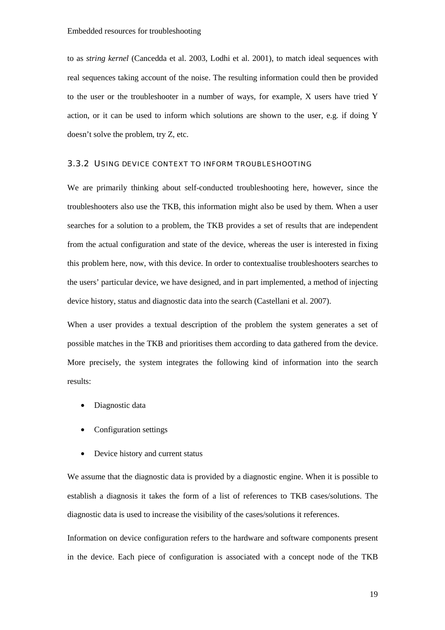to as *string kernel* (Cancedda et al. 2003, Lodhi et al. 2001), to match ideal sequences with real sequences taking account of the noise. The resulting information could then be provided to the user or the troubleshooter in a number of ways, for example, X users have tried Y action, or it can be used to inform which solutions are shown to the user, e.g. if doing Y doesn't solve the problem, try Z, etc.

#### 3.3.2 USING DEVICE CONTEXT TO INFORM TROUBLESHOOTING

We are primarily thinking about self-conducted troubleshooting here, however, since the troubleshooters also use the TKB, this information might also be used by them. When a user searches for a solution to a problem, the TKB provides a set of results that are independent from the actual configuration and state of the device, whereas the user is interested in fixing this problem here, now, with this device. In order to contextualise troubleshooters searches to the users' particular device, we have designed, and in part implemented, a method of injecting device history, status and diagnostic data into the search (Castellani et al. 2007).

When a user provides a textual description of the problem the system generates a set of possible matches in the TKB and prioritises them according to data gathered from the device. More precisely, the system integrates the following kind of information into the search results:

- Diagnostic data
- Configuration settings
- Device history and current status

We assume that the diagnostic data is provided by a diagnostic engine. When it is possible to establish a diagnosis it takes the form of a list of references to TKB cases/solutions. The diagnostic data is used to increase the visibility of the cases/solutions it references.

Information on device configuration refers to the hardware and software components present in the device. Each piece of configuration is associated with a concept node of the TKB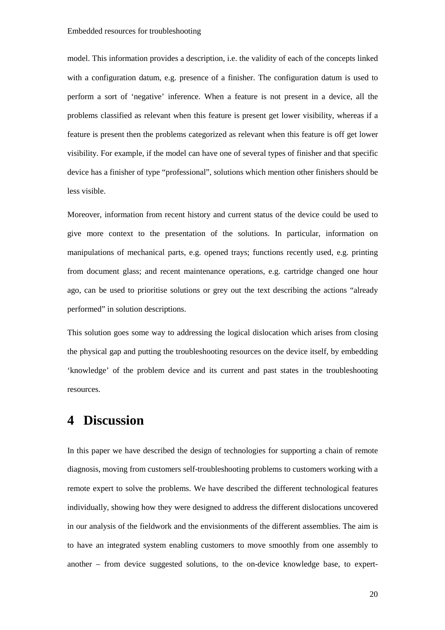model. This information provides a description, i.e. the validity of each of the concepts linked with a configuration datum, e.g. presence of a finisher. The configuration datum is used to perform a sort of 'negative' inference. When a feature is not present in a device, all the problems classified as relevant when this feature is present get lower visibility, whereas if a feature is present then the problems categorized as relevant when this feature is off get lower visibility. For example, if the model can have one of several types of finisher and that specific device has a finisher of type "professional", solutions which mention other finishers should be less visible.

Moreover, information from recent history and current status of the device could be used to give more context to the presentation of the solutions. In particular, information on manipulations of mechanical parts, e.g. opened trays; functions recently used, e.g. printing from document glass; and recent maintenance operations, e.g. cartridge changed one hour ago, can be used to prioritise solutions or grey out the text describing the actions "already performed" in solution descriptions.

This solution goes some way to addressing the logical dislocation which arises from closing the physical gap and putting the troubleshooting resources on the device itself, by embedding 'knowledge' of the problem device and its current and past states in the troubleshooting resources.

# **4 Discussion**

In this paper we have described the design of technologies for supporting a chain of remote diagnosis, moving from customers self-troubleshooting problems to customers working with a remote expert to solve the problems. We have described the different technological features individually, showing how they were designed to address the different dislocations uncovered in our analysis of the fieldwork and the envisionments of the different assemblies. The aim is to have an integrated system enabling customers to move smoothly from one assembly to another – from device suggested solutions, to the on-device knowledge base, to expert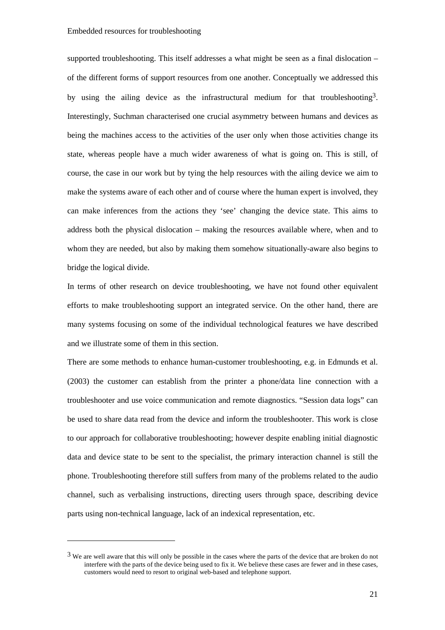supported troubleshooting. This itself addresses a what might be seen as a final dislocation – of the different forms of support resources from one another. Conceptually we addressed this by using the ailing device as the infrastructural medium for that troubleshooting3. Interestingly, Suchman characterised one crucial asymmetry between humans and devices as being the machines access to the activities of the user only when those activities change its state, whereas people have a much wider awareness of what is going on. This is still, of course, the case in our work but by tying the help resources with the ailing device we aim to make the systems aware of each other and of course where the human expert is involved, they can make inferences from the actions they 'see' changing the device state. This aims to address both the physical dislocation – making the resources available where, when and to whom they are needed, but also by making them somehow situationally-aware also begins to bridge the logical divide.

In terms of other research on device troubleshooting, we have not found other equivalent efforts to make troubleshooting support an integrated service. On the other hand, there are many systems focusing on some of the individual technological features we have described and we illustrate some of them in this section.

There are some methods to enhance human-customer troubleshooting, e.g. in Edmunds et al. (2003) the customer can establish from the printer a phone/data line connection with a troubleshooter and use voice communication and remote diagnostics. "Session data logs" can be used to share data read from the device and inform the troubleshooter. This work is close to our approach for collaborative troubleshooting; however despite enabling initial diagnostic data and device state to be sent to the specialist, the primary interaction channel is still the phone. Troubleshooting therefore still suffers from many of the problems related to the audio channel, such as verbalising instructions, directing users through space, describing device parts using non-technical language, lack of an indexical representation, etc.

 $\ddot{\phantom{a}}$ 

 $3$  We are well aware that this will only be possible in the cases where the parts of the device that are broken do not interfere with the parts of the device being used to fix it. We believe these cases are fewer and in these cases, customers would need to resort to original web-based and telephone support.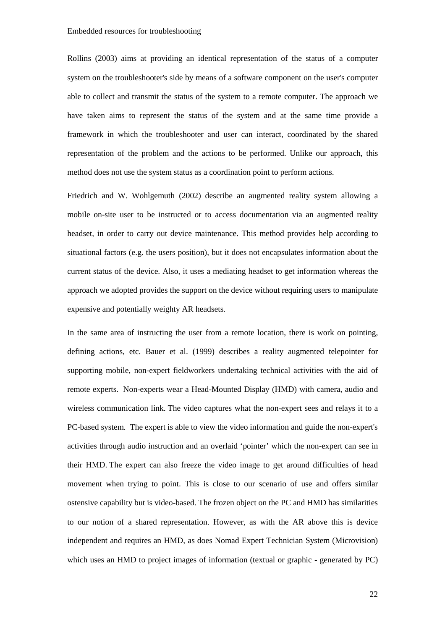Rollins (2003) aims at providing an identical representation of the status of a computer system on the troubleshooter's side by means of a software component on the user's computer able to collect and transmit the status of the system to a remote computer. The approach we have taken aims to represent the status of the system and at the same time provide a framework in which the troubleshooter and user can interact, coordinated by the shared representation of the problem and the actions to be performed. Unlike our approach, this method does not use the system status as a coordination point to perform actions.

Friedrich and W. Wohlgemuth (2002) describe an augmented reality system allowing a mobile on-site user to be instructed or to access documentation via an augmented reality headset, in order to carry out device maintenance. This method provides help according to situational factors (e.g. the users position), but it does not encapsulates information about the current status of the device. Also, it uses a mediating headset to get information whereas the approach we adopted provides the support on the device without requiring users to manipulate expensive and potentially weighty AR headsets.

In the same area of instructing the user from a remote location, there is work on pointing, defining actions, etc. Bauer et al. (1999) describes a reality augmented telepointer for supporting mobile, non-expert fieldworkers undertaking technical activities with the aid of remote experts. Non-experts wear a Head-Mounted Display (HMD) with camera, audio and wireless communication link. The video captures what the non-expert sees and relays it to a PC-based system. The expert is able to view the video information and guide the non-expert's activities through audio instruction and an overlaid 'pointer' which the non-expert can see in their HMD. The expert can also freeze the video image to get around difficulties of head movement when trying to point. This is close to our scenario of use and offers similar ostensive capability but is video-based. The frozen object on the PC and HMD has similarities to our notion of a shared representation. However, as with the AR above this is device independent and requires an HMD, as does Nomad Expert Technician System (Microvision) which uses an HMD to project images of information (textual or graphic - generated by PC)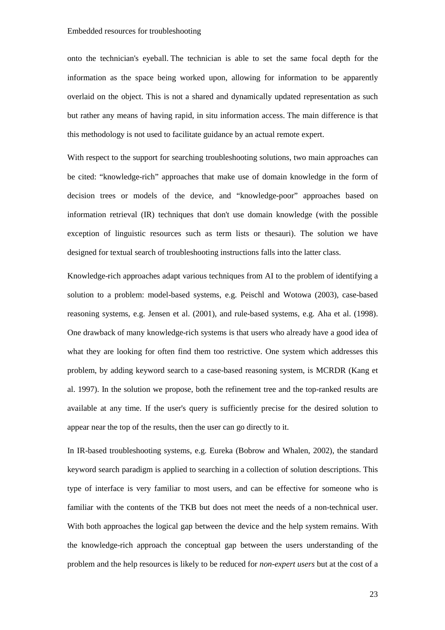#### Embedded resources for troubleshooting

onto the technician's eyeball. The technician is able to set the same focal depth for the information as the space being worked upon, allowing for information to be apparently overlaid on the object. This is not a shared and dynamically updated representation as such but rather any means of having rapid, in situ information access. The main difference is that this methodology is not used to facilitate guidance by an actual remote expert.

With respect to the support for searching troubleshooting solutions, two main approaches can be cited: "knowledge-rich" approaches that make use of domain knowledge in the form of decision trees or models of the device, and "knowledge-poor" approaches based on information retrieval (IR) techniques that don't use domain knowledge (with the possible exception of linguistic resources such as term lists or thesauri). The solution we have designed for textual search of troubleshooting instructions falls into the latter class.

Knowledge-rich approaches adapt various techniques from AI to the problem of identifying a solution to a problem: model-based systems, e.g. Peischl and Wotowa (2003), case-based reasoning systems, e.g. Jensen et al. (2001), and rule-based systems, e.g. Aha et al. (1998). One drawback of many knowledge-rich systems is that users who already have a good idea of what they are looking for often find them too restrictive. One system which addresses this problem, by adding keyword search to a case-based reasoning system, is MCRDR (Kang et al. 1997). In the solution we propose, both the refinement tree and the top-ranked results are available at any time. If the user's query is sufficiently precise for the desired solution to appear near the top of the results, then the user can go directly to it.

In IR-based troubleshooting systems, e.g. Eureka (Bobrow and Whalen, 2002), the standard keyword search paradigm is applied to searching in a collection of solution descriptions. This type of interface is very familiar to most users, and can be effective for someone who is familiar with the contents of the TKB but does not meet the needs of a non-technical user. With both approaches the logical gap between the device and the help system remains. With the knowledge-rich approach the conceptual gap between the users understanding of the problem and the help resources is likely to be reduced for *non-expert users* but at the cost of a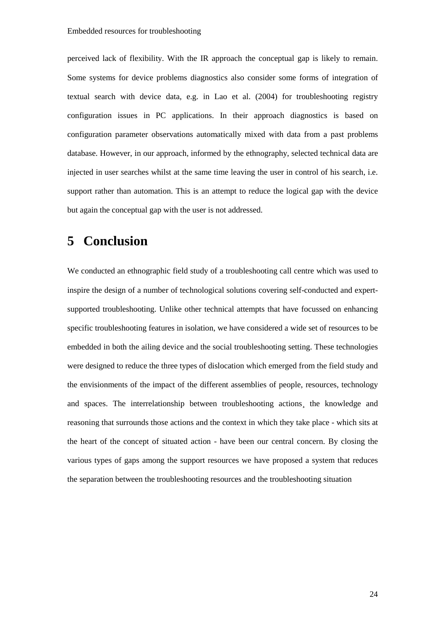perceived lack of flexibility. With the IR approach the conceptual gap is likely to remain. Some systems for device problems diagnostics also consider some forms of integration of textual search with device data, e.g. in Lao et al. (2004) for troubleshooting registry configuration issues in PC applications. In their approach diagnostics is based on configuration parameter observations automatically mixed with data from a past problems database. However, in our approach, informed by the ethnography, selected technical data are injected in user searches whilst at the same time leaving the user in control of his search, i.e. support rather than automation. This is an attempt to reduce the logical gap with the device but again the conceptual gap with the user is not addressed.

# **5 Conclusion**

We conducted an ethnographic field study of a troubleshooting call centre which was used to inspire the design of a number of technological solutions covering self-conducted and expertsupported troubleshooting. Unlike other technical attempts that have focussed on enhancing specific troubleshooting features in isolation, we have considered a wide set of resources to be embedded in both the ailing device and the social troubleshooting setting. These technologies were designed to reduce the three types of dislocation which emerged from the field study and the envisionments of the impact of the different assemblies of people, resources, technology and spaces. The interrelationship between troubleshooting actions¸ the knowledge and reasoning that surrounds those actions and the context in which they take place - which sits at the heart of the concept of situated action - have been our central concern. By closing the various types of gaps among the support resources we have proposed a system that reduces the separation between the troubleshooting resources and the troubleshooting situation

24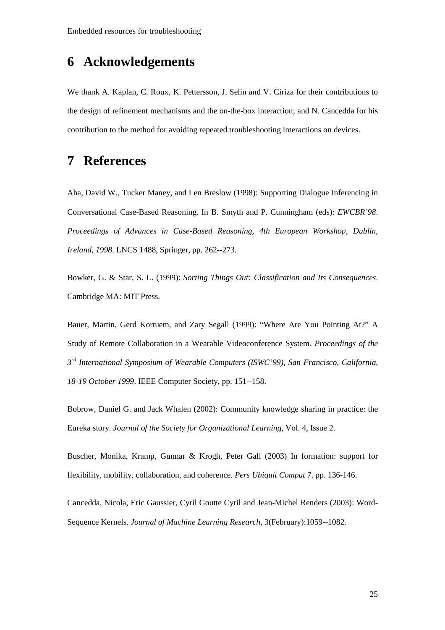# **6 Acknowledgements**

We thank A. Kaplan, C. Roux, K. Pettersson, J. Selin and V. Ciriza for their contributions to the design of refinement mechanisms and the on-the-box interaction; and N. Cancedda for his contribution to the method for avoiding repeated troubleshooting interactions on devices.

# **7 References**

Aha, David W., Tucker Maney, and Len Breslow (1998): Supporting Dialogue Inferencing in Conversational Case-Based Reasoning. In B. Smyth and P. Cunningham (eds): *EWCBR'98*. *Proceedings of Advances in Case-Based Reasoning, 4th European Workshop, Dublin, Ireland, 1998*. LNCS 1488, Springer, pp. 262--273.

Bowker, G. & Star, S. L. (1999): *Sorting Things Out: Classification and Its Consequences*. Cambridge MA: MIT Press.

Bauer, Martin, Gerd Kortuem, and Zary Segall (1999): "Where Are You Pointing At?" A Study of Remote Collaboration in a Wearable Videoconference System. *Proceedings of the 3rd International Symposium of Wearable Computers (ISWC'99), San Francisco, California, 18-19 October 1999*. IEEE Computer Society, pp. 151--158.

Bobrow, Daniel G. and Jack Whalen (2002): Community knowledge sharing in practice: the Eureka story. *Journal of the Society for Organizational Learning*, Vol. 4, Issue 2.

Buscher, Monika, Kramp, Gunnar & Krogh, Peter Gall (2003) In formation: support for flexibility, mobility, collaboration, and coherence. *Pers Ubiquit Comput* 7. pp. 136-146.

Cancedda, Nicola, Eric Gaussier, Cyril Goutte Cyril and Jean-Michel Renders (2003): Word-Sequence Kernels. *Journal of Machine Learning Research*, 3(February):1059--1082.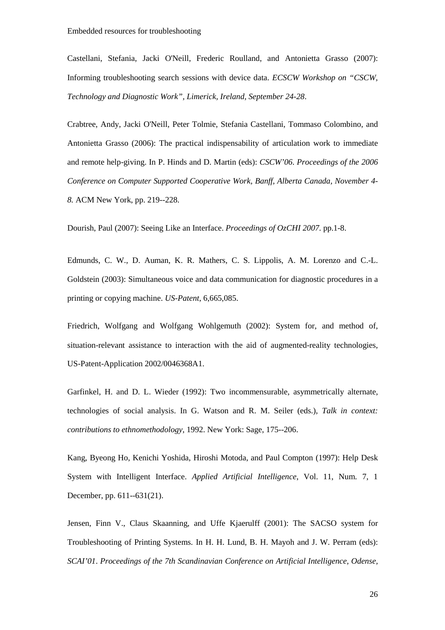Castellani, Stefania, Jacki O'Neill, Frederic Roulland, and Antonietta Grasso (2007): Informing troubleshooting search sessions with device data. *ECSCW Workshop on "CSCW, Technology and Diagnostic Work", Limerick, Ireland, September 24-28*.

Crabtree, Andy, Jacki O'Neill, Peter Tolmie, Stefania Castellani, Tommaso Colombino, and Antonietta Grasso (2006): The practical indispensability of articulation work to immediate and remote help-giving. In P. Hinds and D. Martin (eds): *CSCW'06*. *Proceedings of the 2006 Conference on Computer Supported Cooperative Work, Banff, Alberta Canada, November 4- 8.* ACM New York, pp. 219--228.

Dourish, Paul (2007): Seeing Like an Interface. *Proceedings of OzCHI 2007*. pp.1-8.

Edmunds, C. W., D. Auman, K. R. Mathers, C. S. Lippolis, A. M. Lorenzo and C.-L. Goldstein (2003): Simultaneous voice and data communication for diagnostic procedures in a printing or copying machine. *US-Patent*, 6,665,085.

Friedrich, Wolfgang and Wolfgang Wohlgemuth (2002): System for, and method of, situation-relevant assistance to interaction with the aid of augmented-reality technologies, US-Patent-Application 2002/0046368A1.

Garfinkel, H. and D. L. Wieder (1992): Two incommensurable, asymmetrically alternate, technologies of social analysis. In G. Watson and R. M. Seiler (eds.), *Talk in context: contributions to ethnomethodology*, 1992. New York: Sage, 175--206.

Kang, Byeong Ho, Kenichi Yoshida, Hiroshi Motoda, and Paul Compton (1997): Help Desk System with Intelligent Interface. *Applied Artificial Intelligence*, Vol. 11, Num. 7, 1 December, pp. 611--631(21).

Jensen, Finn V., Claus Skaanning, and Uffe Kjaerulff (2001): The SACSO system for Troubleshooting of Printing Systems. In H. H. Lund, B. H. Mayoh and J. W. Perram (eds): *SCAI'01*. *Proceedings of the 7th Scandinavian Conference on Artificial Intelligence, Odense,*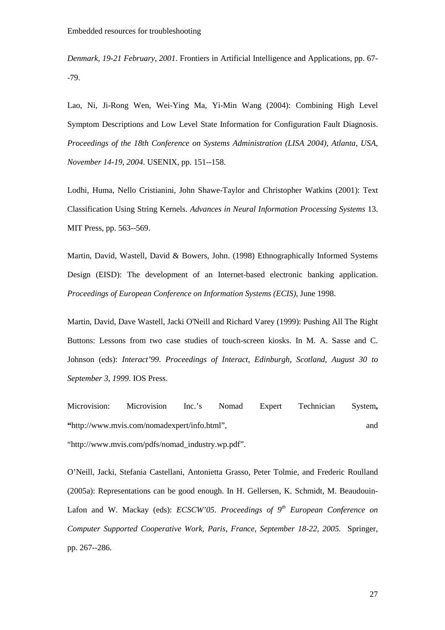*Denmark, 19-21 February, 2001*. Frontiers in Artificial Intelligence and Applications, pp. 67- -79.

Lao, Ni, Ji-Rong Wen, Wei-Ying Ma, Yi-Min Wang (2004): Combining High Level Symptom Descriptions and Low Level State Information for Configuration Fault Diagnosis. *Proceedings of the 18th Conference on Systems Administration (LISA 2004), Atlanta, USA, November 14-19, 2004*. USENIX, pp. 151--158.

Lodhi, Huma, Nello Cristianini, John Shawe-Taylor and Christopher Watkins (2001): Text Classification Using String Kernels. *Advances in Neural Information Processing Systems* 13. MIT Press, pp. 563--569.

Martin, David, Wastell, David & Bowers, John. (1998) Ethnographically Informed Systems Design (EISD): The development of an Internet-based electronic banking application. *Proceedings of European Conference on Information Systems (ECIS)*, June 1998.

Martin, David, Dave Wastell, Jacki O'Neill and Richard Varey (1999): Pushing All The Right Buttons: Lessons from two case studies of touch-screen kiosks. In M. A. Sasse and C. Johnson (eds): *Interact'99*. *Proceedings of Interact, Edinburgh, Scotland, August 30 to September 3, 1999*. IOS Press.

Microvision: Microvision Inc.'s Nomad Expert Technician System**, "**http://www.mvis.com/nomadexpert/info.html", and "http://www.mvis.com/pdfs/nomad\_industry.wp.pdf".

O'Neill, Jacki, Stefania Castellani, Antonietta Grasso, Peter Tolmie, and Frederic Roulland (2005a): Representations can be good enough. In H. Gellersen, K. Schmidt, M. Beaudouin-Lafon and W. Mackay (eds): *ECSCW'05*. *Proceedings of 9<sup>th</sup> European Conference on Computer Supported Cooperative Work, Paris, France, September 18-22, 2005*. Springer, pp. 267--286.